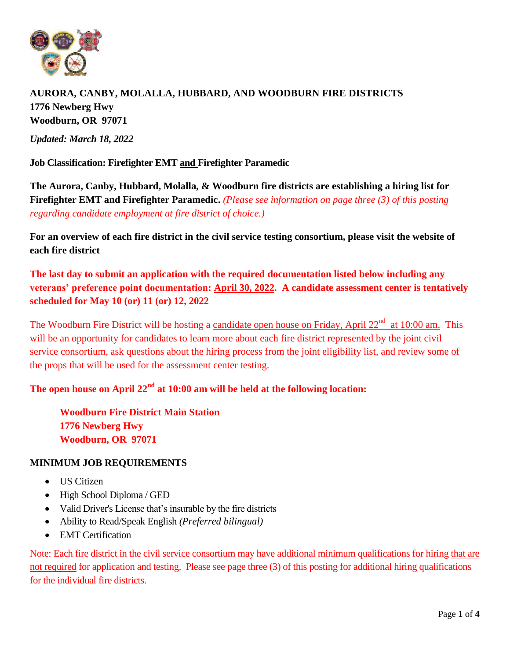

# **AURORA, CANBY, MOLALLA, HUBBARD, AND WOODBURN FIRE DISTRICTS 1776 Newberg Hwy Woodburn, OR 97071**

*Updated: March 18, 2022*

**Job Classification: Firefighter EMT and Firefighter Paramedic**

**The Aurora, Canby, Hubbard, Molalla, & Woodburn fire districts are establishing a hiring list for Firefighter EMT and Firefighter Paramedic.** *(Please see information on page three (3) of this posting regarding candidate employment at fire district of choice.)*

**For an overview of each fire district in the civil service testing consortium, please visit the website of each fire district**

**The last day to submit an application with the required documentation listed below including any veterans' preference point documentation: April 30, 2022. A candidate assessment center is tentatively scheduled for May 10 (or) 11 (or) 12, 2022**

The Woodburn Fire District will be hosting a candidate open house on Friday, April 22<sup>nd</sup> at 10:00 am. This will be an opportunity for candidates to learn more about each fire district represented by the joint civil service consortium, ask questions about the hiring process from the joint eligibility list, and review some of the props that will be used for the assessment center testing.

#### The open house on April  $22<sup>nd</sup>$  at  $10:00$  am will be held at the following location:

**Woodburn Fire District Main Station 1776 Newberg Hwy Woodburn, OR 97071** 

#### **MINIMUM JOB REQUIREMENTS**

- US Citizen
- High School Diploma / GED
- Valid Driver's License that's insurable by the fire districts
- Ability to Read/Speak English *(Preferred bilingual)*
- EMT Certification

Note: Each fire district in the civil service consortium may have additional minimum qualifications for hiring that are not required for application and testing. Please see page three (3) of this posting for additional hiring qualifications for the individual fire districts.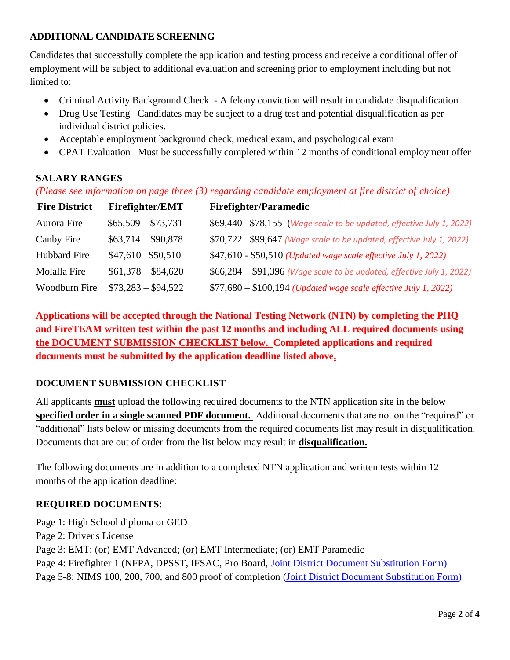### **ADDITIONAL CANDIDATE SCREENING**

Candidates that successfully complete the application and testing process and receive a conditional offer of employment will be subject to additional evaluation and screening prior to employment including but not limited to:

- Criminal Activity Background Check A felony conviction will result in candidate disqualification
- Drug Use Testing– Candidates may be subject to a drug test and potential disqualification as per individual district policies.
- Acceptable employment background check, medical exam, and psychological exam
- CPAT Evaluation –Must be successfully completed within 12 months of conditional employment offer

#### **SALARY RANGES**

*(Please see information on page three (3) regarding candidate employment at fire district of choice)*

| <b>Fire District</b> | <b>Firefighter/EMT</b> | <b>Firefighter/Paramedic</b>                                           |
|----------------------|------------------------|------------------------------------------------------------------------|
| Aurora Fire          | $$65,509 - $73,731$    | \$69,440 - \$78,155 (Wage scale to be updated, effective July 1, 2022) |
| Canby Fire           | $$63,714 - $90,878$    | \$70,722 - \$99,647 (Wage scale to be updated, effective July 1, 2022) |
| Hubbard Fire         | $$47,610 - $50,510$    | \$47,610 - \$50,510 (Updated wage scale effective July 1, 2022)        |
| Molalla Fire         | $$61,378 - $84,620$    | \$66,284 - \$91,396 (Wage scale to be updated, effective July 1, 2022) |
| Woodburn Fire        | $$73,283 - $94,522$    | $$77,680 - $100,194$ (Updated wage scale effective July 1, 2022)       |

**Applications will be accepted through the National Testing Network (NTN) by completing the PHQ and FireTEAM written test within the past 12 months and including ALL required documents using the DOCUMENT SUBMISSION CHECKLIST below. Completed applications and required documents must be submitted by the application deadline listed above.** 

### **DOCUMENT SUBMISSION CHECKLIST**

All applicants **must** upload the following required documents to the NTN application site in the below **specified order in a single scanned PDF document.** Additional documents that are not on the "required" or "additional" lists below or missing documents from the required documents list may result in disqualification. Documents that are out of order from the list below may result in **disqualification.** 

The following documents are in addition to a completed NTN application and written tests within 12 months of the application deadline:

### **REQUIRED DOCUMENTS**:

Page 1: High School diploma or GED

Page 2: Driver's License

Page 3: EMT; (or) EMT Advanced; (or) EMT Intermediate; (or) EMT Paramedic

Page 4: Firefighter 1 (NFPA, DPSST, IFSAC, Pro Board, [Joint District Document Substitution](https://canbyfire.org/wp-content/uploads/2021/09/Joint-District-Document-Substitution-Form.pdf) [Form\)](https://canbyfire.org/wp-content/uploads/2021/09/Joint-District-Document-Substitution-Form.pdf)

Page 5-8: NIMS 100, 200, 700, and 800 proof of completion [\(Joint District Document](https://canbyfire.org/wp-content/uploads/2021/09/Joint-District-Document-Substitution-Form.pdf) [Substitution Form\)](https://canbyfire.org/wp-content/uploads/2021/09/Joint-District-Document-Substitution-Form.pdf)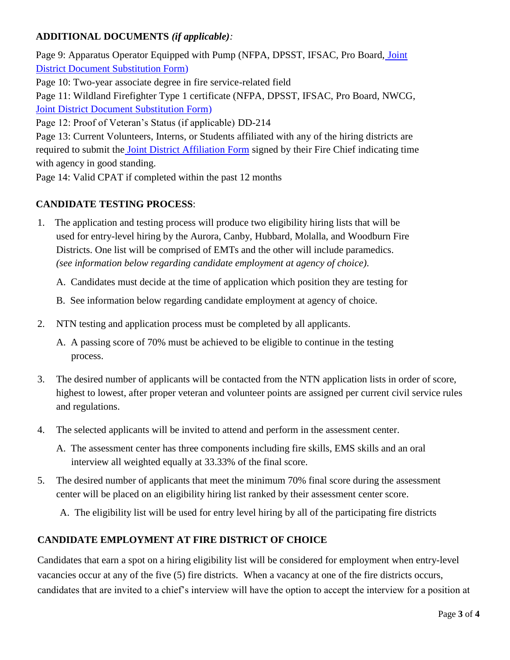### **ADDITIONAL DOCUMENTS** *(if applicable):*

Page 9: Apparatus Operator Equipped with Pump (NFPA, DPSST, IFSAC, Pro Board, [Joint](https://canbyfire.org/wp-content/uploads/2021/09/Joint-District-Document-Substitution-Form.pdf) [District Document Substitution Form\)](https://canbyfire.org/wp-content/uploads/2021/09/Joint-District-Document-Substitution-Form.pdf) Page 10: Two-year associate degree in fire service-related field Page 11: Wildland Firefighter Type 1 certificate (NFPA, DPSST, IFSAC, Pro Board, NWCG, [Joint District Document Substitution Form\)](https://canbyfire.org/wp-content/uploads/2021/09/Joint-District-Document-Substitution-Form.pdf) Page 12: Proof of Veteran's Status (if applicable) DD-214 Page 13: Current Volunteers, Interns, or Students affiliated with any of the hiring districts are

required to submit the **[Joint District Affiliation Form](https://canbyfire.org/wp-content/uploads/2021/09/Joint-District-Affiliation-Form.pdf)** signed by their Fire Chief indicating time with agency in good standing.

Page 14: Valid CPAT if completed within the past 12 months

#### **CANDIDATE TESTING PROCESS**:

1. The application and testing process will produce two eligibility hiring lists that will be used for entry-level hiring by the Aurora, Canby, Hubbard, Molalla, and Woodburn Fire Districts. One list will be comprised of EMTs and the other will include paramedics. *(see information below regarding candidate employment at agency of choice)*.

A. Candidates must decide at the time of application which position they are testing for

- B. See information below regarding candidate employment at agency of choice.
- 2. NTN testing and application process must be completed by all applicants.
	- A. A passing score of 70% must be achieved to be eligible to continue in the testing process.
- 3. The desired number of applicants will be contacted from the NTN application lists in order of score, highest to lowest, after proper veteran and volunteer points are assigned per current civil service rules and regulations.
- 4. The selected applicants will be invited to attend and perform in the assessment center.
	- A. The assessment center has three components including fire skills, EMS skills and an oral interview all weighted equally at 33.33% of the final score.
- 5. The desired number of applicants that meet the minimum 70% final score during the assessment center will be placed on an eligibility hiring list ranked by their assessment center score.

A. The eligibility list will be used for entry level hiring by all of the participating fire districts

#### **CANDIDATE EMPLOYMENT AT FIRE DISTRICT OF CHOICE**

Candidates that earn a spot on a hiring eligibility list will be considered for employment when entry-level vacancies occur at any of the five (5) fire districts. When a vacancy at one of the fire districts occurs, candidates that are invited to a chief's interview will have the option to accept the interview for a position at